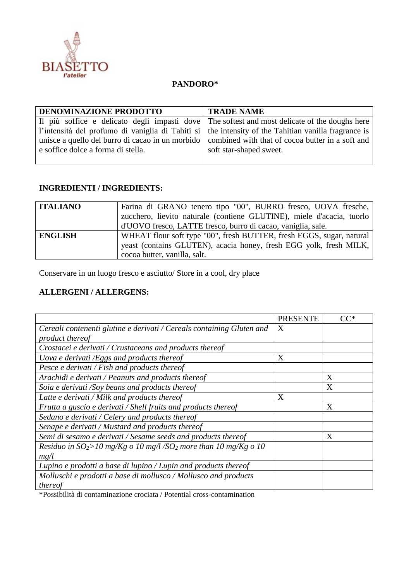

## **PANDORO\***

| <b>DENOMINAZIONE PRODOTTO</b>      | <b>TRADE NAME</b>                                                                                   |
|------------------------------------|-----------------------------------------------------------------------------------------------------|
|                                    | Il più soffice e delicato degli impasti dove The softest and most delicate of the doughs here       |
|                                    | l'intensità del profumo di vaniglia di Tahiti si the intensity of the Tahitian vanilla fragrance is |
|                                    | unisce a quello del burro di cacao in un morbido   combined with that of cocoa butter in a soft and |
| e soffice dolce a forma di stella. | soft star-shaped sweet.                                                                             |
|                                    |                                                                                                     |

## **INGREDIENTI / INGREDIENTS:**

| <b>ITALIANO</b> | Farina di GRANO tenero tipo "00", BURRO fresco, UOVA fresche,<br>zucchero, lievito naturale (contiene GLUTINE), miele d'acacia, tuorlo<br>d'UOVO fresco, LATTE fresco, burro di cacao, vaniglia, sale. |
|-----------------|--------------------------------------------------------------------------------------------------------------------------------------------------------------------------------------------------------|
| <b>ENGLISH</b>  | WHEAT flour soft type "00", fresh BUTTER, fresh EGGS, sugar, natural<br>yeast (contains GLUTEN), acacia honey, fresh EGG yolk, fresh MILK,<br>cocoa butter, vanilla, salt.                             |

Conservare in un luogo fresco e asciutto/ Store in a cool, dry place

## **ALLERGENI / ALLERGENS:**

|                                                                                | <b>PRESENTE</b> | $CC^*$       |
|--------------------------------------------------------------------------------|-----------------|--------------|
| Cereali contenenti glutine e derivati / Cereals containing Gluten and          | X               |              |
| product thereof                                                                |                 |              |
| Crostacei e derivati / Crustaceans and products thereof                        |                 |              |
| Uova e derivati /Eggs and products thereof                                     | X               |              |
| Pesce e derivati / Fish and products thereof                                   |                 |              |
| Arachidi e derivati / Peanuts and products thereof                             |                 | X            |
| Soia e derivati /Soy beans and products thereof                                |                 | $\mathbf{X}$ |
| Latte e derivati / Milk and products thereof                                   | X               |              |
| Frutta a guscio e derivati / Shell fruits and products thereof                 |                 | X            |
| Sedano e derivati / Celery and products thereof                                |                 |              |
| Senape e derivati / Mustard and products thereof                               |                 |              |
| Semi di sesamo e derivati / Sesame seeds and products thereof                  |                 | Χ            |
| Residuo in $SO_2 > 10$ mg/Kg o 10 mg/l/SO <sub>2</sub> more than 10 mg/Kg o 10 |                 |              |
| mg/l                                                                           |                 |              |
| Lupino e prodotti a base di lupino / Lupin and products thereof                |                 |              |
| Molluschi e prodotti a base di mollusco / Mollusco and products                |                 |              |
| thereof                                                                        |                 |              |

\*Possibilità di contaminazione crociata / Potential cross-contamination